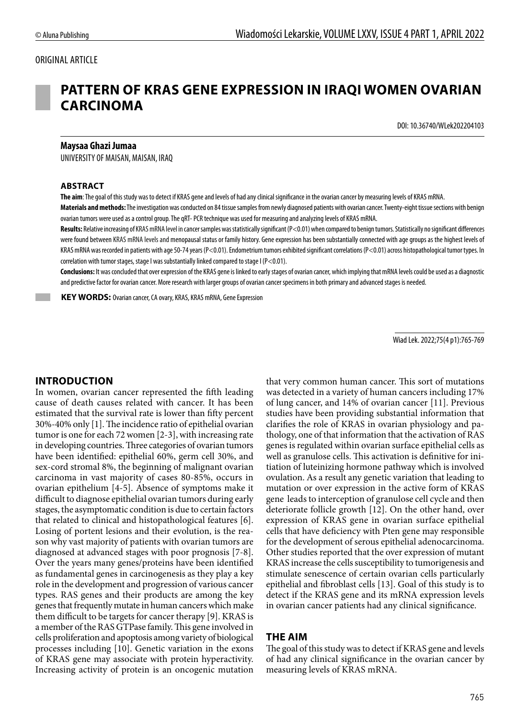#### ORIGINAL ARTICLE

# **PATTERN OF KRAS GENE EXPRESSION IN IRAQI WOMEN OVARIAN CARCINOMA**

DOI: 10.36740/WLek202204103

#### **Maysaa Ghazi Jumaa**

UNIVERSITY OF MAISAN, MAISAN, IRAQ

#### **ABSTRACT**

**The aim**: The goal of this study was to detect if KRAS gene and levels of had any clinical significance in the ovarian cancer by measuring levels of KRAS mRNA.

**Materials and methods:** The investigation was conducted on 84 tissue samples from newly diagnosed patients with ovarian cancer. Twenty-eight tissue sections with benign ovarian tumors were used as a control group. The qRT- PCR technique was used for measuring and analyzing levels of KRAS mRNA.

**Results:** Relative increasing of KRAS mRNA level in cancer samples was statistically significant (P<0.01) when compared to benign tumors. Statistically no significant differences were found between KRAS mRNA levels and menopausal status or family history. Gene expression has been substantially connected with age groups as the highest levels of KRAS mRNA was recorded in patients with age 50-74 years (P<0.01). Endometrium tumors exhibited significant correlations (P<0.01) across histopathological tumor types. In correlation with tumor stages, stage I was substantially linked compared to stage I (P<0.01).

**Conclusions:** It was concluded that over expression of the KRAS gene is linked to early stages of ovarian cancer, which implying that mRNA levels could be used as a diagnostic and predictive factor for ovarian cancer. More research with larger groups of ovarian cancer specimens in both primary and advanced stages is needed.

 **KEY WORDS:** Ovarian cancer, CA ovary, KRAS, KRAS mRNA, Gene Expression

Wiad Lek. 2022;75(4 p1):765-769

#### **INTRODUCTION**

In women, ovarian cancer represented the fifth leading cause of death causes related with cancer. It has been estimated that the survival rate is lower than fifty percent 30%-40% only [1]. The incidence ratio of epithelial ovarian tumor is one for each 72 women [2-3], with increasing rate in developing countries. Three categories of ovarian tumors have been identified: epithelial 60%, germ cell 30%, and sex-cord stromal 8%, the beginning of malignant ovarian carcinoma in vast majority of cases 80-85%, occurs in ovarian epithelium [4-5]. Absence of symptoms make it difficult to diagnose epithelial ovarian tumors during early stages, the asymptomatic condition is due to certain factors that related to clinical and histopathological features [6]. Losing of portent lesions and their evolution, is the reason why vast majority of patients with ovarian tumors are diagnosed at advanced stages with poor prognosis [7-8]. Over the years many genes/proteins have been identified as fundamental genes in carcinogenesis as they play a key role in the development and progression of various cancer types. RAS genes and their products are among the key genes that frequently mutate in human cancers which make them difficult to be targets for cancer therapy [9]. KRAS is a member of the RAS GTPase family. This gene involved in cells proliferation and apoptosis among variety of biological processes including [10]. Genetic variation in the exons of KRAS gene may associate with protein hyperactivity. Increasing activity of protein is an oncogenic mutation that very common human cancer. This sort of mutations was detected in a variety of human cancers including 17% of lung cancer, and 14% of ovarian cancer [11]. Previous studies have been providing substantial information that clarifies the role of KRAS in ovarian physiology and pathology, one of that information that the activation of RAS genes is regulated within ovarian surface epithelial cells as well as granulose cells. This activation is definitive for initiation of luteinizing hormone pathway which is involved ovulation. As a result any genetic variation that leading to mutation or over expression in the active form of KRAS gene leads to interception of granulose cell cycle and then deteriorate follicle growth [12]. On the other hand, over expression of KRAS gene in ovarian surface epithelial cells that have deficiency with Pten gene may responsible for the development of serous epithelial adenocarcinoma. Other studies reported that the over expression of mutant KRAS increase the cells susceptibility to tumorigenesis and stimulate senescence of certain ovarian cells particularly epithelial and fibroblast cells [13]. Goal of this study is to detect if the KRAS gene and its mRNA expression levels in ovarian cancer patients had any clinical significance.

#### **THE AIM**

The goal of this study was to detect if KRAS gene and levels of had any clinical significance in the ovarian cancer by measuring levels of KRAS mRNA.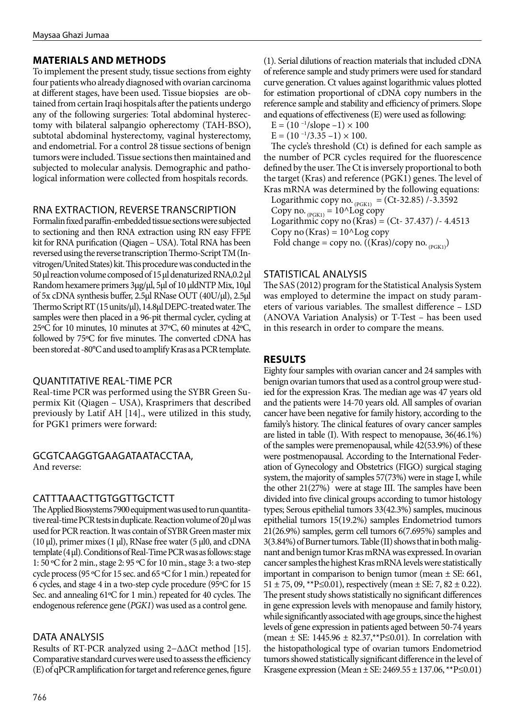## **MATERIALS AND METHODS**

To implement the present study, tissue sections from eighty four patients who already diagnosed with ovarian carcinoma at different stages, have been used. Tissue biopsies are obtained from certain Iraqi hospitals after the patients undergo any of the following surgeries: Total abdominal hysterectomy with bilateral salpangio opherectomy (TAH-BSO), subtotal abdominal hysterectomy, vaginal hysterectomy, and endometrial. For a control 28 tissue sections of benign tumors were included. Tissue sections then maintained and subjected to molecular analysis. Demographic and pathological information were collected from hospitals records.

## RNA EXTRACTION, REVERSE TRANSCRIPTION

Formalin fixed paraffin-embedded tissue sections were subjected to sectioning and then RNA extraction using RN easy FFPE kit for RNA purification (Qiagen – USA). Total RNA has been reversed using the reverse transcription Thermo-Script TM (Invitrogen/United States) kit. This procedure was conducted in the 50 μl reaction volume composed of 15 µl denaturized RNA,0.2 μl Random hexamere primers 3µg/µl, 5μl of 10 μldNTP Mix, 10μl of 5x cDNA synthesis buffer, 2.5µl RNase OUT (40U/µl), 2.5µl Thermo Script RT (15 units/µl), 14.8µl DEPC-treated water. The samples were then placed in a 96-pit thermal cycler, cycling at 25ºC for 10 minutes, 10 minutes at 37ºC, 60 minutes at 42ºC, followed by 75ºC for five minutes. The converted cDNA has been stored at -80°C and used to amplify Kras as a PCR template.

#### QUANTITATIVE REAL-TIME PCR

Real-time PCR was performed using the SYBR Green Supermix Kit (Qiagen – USA), Krasprimers that described previously by Latif AH [14]., were utilized in this study, for PGK1 primers were forward:

GCGTCAAGGTGAAGATAATACCTAA, And reverse:

## CATTTAAACTTGTGGTTGCTCTT

The Applied Biosystems 7900 equipment was used to run quantitative real-time PCR tests in duplicate. Reaction volume of 20 μl was used for PCR reaction. It was contain of SYBR Green master mix (10 μl), primer mixes (1 μl), RNase free water (5 μl0, and cDNA template (4 μl). Conditions of Real-Time PCR was as follows: stage 1: 50 ºC for 2 min., stage 2: 95 ºC for 10 min., stage 3: a two-step cycle process (95 ºC for 15 sec. and 65 ºC for 1 min.) repeated for 6 cycles, and stage 4 in a two-step cycle procedure (95ºC for 15 Sec. and annealing 61ºC for 1 min.) repeated for 40 cycles. The endogenous reference gene (*PGK1*) was used as a control gene.

## DATA ANALYSIS

Results of RT-PCR analyzed using 2−ΔΔCt method [15]. Comparative standard curves were used to assess the efficiency (E) of qPCR amplification for target and reference genes, figure

766

(1). Serial dilutions of reaction materials that included cDNA of reference sample and study primers were used for standard curve generation. Ct values against logarithmic values plotted for estimation proportional of cDNA copy numbers in the reference sample and stability and efficiency of primers. Slope and equations of effectiveness (E) were used as following:

 $E = (10^{-1}/slope - 1) \times 100$ 

 $E = (10^{-1}/3.35 - 1) \times 100.$ 

The cycle's threshold (Ct) is defined for each sample as the number of PCR cycles required for the fluorescence defined by the user. The Ct is inversely proportional to both the target (Kras) and reference (PGK1) genes. The level of Kras mRNA was determined by the following equations:

Logarithmic copy no.  $_{(PGK1)} = (Ct-32.85) / -3.3592$ Copy no.  $_{(PGK1)} = 10^{\circ}$ Log copy Logarithmic copy no (Kras) = (Ct- 37.437)  $/ - 4.4513$ Copy no  $(Kras) = 10^{\text{A}}Log copy$ Fold change = copy no. ((Kras)/copy no.  $_{(PGK1)}$ )

#### STATISTICAL ANALYSIS

The SAS (2012) program for the Statistical Analysis System was employed to determine the impact on study parameters of various variables. The smallest difference – LSD (ANOVA Variation Analysis) or T-Test – has been used in this research in order to compare the means.

## **RESULTS**

Eighty four samples with ovarian cancer and 24 samples with benign ovarian tumors that used as a control group were studied for the expression Kras. The median age was 47 years old and the patients were 14-70 years old. All samples of ovarian cancer have been negative for family history, according to the family's history. The clinical features of ovary cancer samples are listed in table (I). With respect to menopause, 36(46.1%) of the samples were premenopausal, while 42(53.9%) of these were postmenopausal. According to the International Federation of Gynecology and Obstetrics (FIGO) surgical staging system, the majority of samples 57(73%) were in stage I, while the other 21(27%) were at stage III. The samples have been divided into five clinical groups according to tumor histology types; Serous epithelial tumors 33(42.3%) samples, mucinous epithelial tumors 15(19.2%) samples Endometriod tumors 21(26.9%) samples, germ cell tumors 6(7.695%) samples and 3(3.84%) of Burner tumors. Table (II) shows that in both malignant and benign tumor Kras mRNA was expressed. In ovarian cancer samples the highest Kras mRNA levels were statistically important in comparison to benign tumor (mean  $\pm$  SE: 661, 51 ± 75, 09, \*\*P $\leq$ 0.01), respectively (mean ± SE: 7, 82 ± 0.22). The present study shows statistically no significant differences in gene expression levels with menopause and family history, while significantly associated with age groups, since the highest levels of gene expression in patients aged between 50-74 years (mean  $\pm$  SE: 1445.96  $\pm$  82.37,\*\*P≤0.01). In correlation with the histopathological type of ovarian tumors Endometriod tumors showed statistically significant difference in the level of Krasgene expression (Mean ± SE: 2469.55 ± 137.06, \*\*P≤0.01)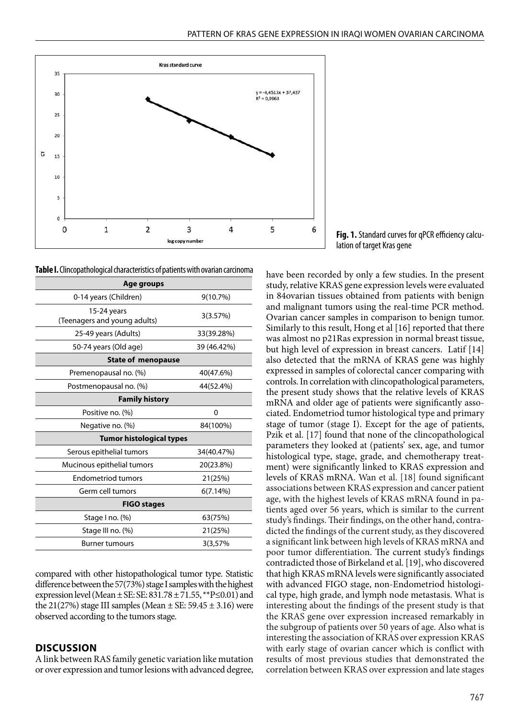

**Table I.** Clincopathological characteristics of patients with ovarian carcinoma

| Age groups                                  |             |  |
|---------------------------------------------|-------------|--|
| 0-14 years (Children)                       | 9(10.7%)    |  |
| 15-24 years<br>(Teenagers and young adults) | 3(3.57%)    |  |
| 25-49 years (Adults)                        | 33(39.28%)  |  |
| 50-74 years (Old age)                       | 39 (46.42%) |  |
| <b>State of menopause</b>                   |             |  |
| Premenopausal no. (%)                       | 40(47.6%)   |  |
| Postmenopausal no. (%)                      | 44(52.4%)   |  |
| <b>Family history</b>                       |             |  |
| Positive no. (%)                            | 0           |  |
| Negative no. (%)                            | 84(100%)    |  |
| <b>Tumor histological types</b>             |             |  |
| Serous epithelial tumors                    | 34(40.47%)  |  |
| Mucinous epithelial tumors                  | 20(23.8%)   |  |
| <b>Endometriod tumors</b>                   | 21(25%)     |  |
| Germ cell tumors                            | 6(7.14%)    |  |
| <b>FIGO stages</b>                          |             |  |
| Stage I no. (%)                             | 63(75%)     |  |
| Stage III no. (%)                           | 21(25%)     |  |
| Burner tumours                              | 3(3,57%     |  |

compared with other histopathological tumor type. Statistic difference between the 57(73%) stage I samples with the highest expression level (Mean  $\pm$  SE: SE: 831.78  $\pm$  71.55, \*\*P $\leq$ 0.01) and the 21(27%) stage III samples (Mean  $\pm$  SE: 59.45  $\pm$  3.16) were observed according to the tumors stage.

#### **DISCUSSION**

A link between RAS family genetic variation like mutation or over expression and tumor lesions with advanced degree,

**Fig. 1.** Standard curves for qPCR efficiency calculation of target Kras gene

have been recorded by only a few studies. In the present study, relative KRAS gene expression levels were evaluated in 84ovarian tissues obtained from patients with benign and malignant tumors using the real-time PCR method. Ovarian cancer samples in comparison to benign tumor. Similarly to this result, Hong et al [16] reported that there was almost no p21Ras expression in normal breast tissue, but high level of expression in breast cancers. Latif [14] also detected that the mRNA of KRAS gene was highly expressed in samples of colorectal cancer comparing with controls. In correlation with clincopathological parameters, the present study shows that the relative levels of KRAS mRNA and older age of patients were significantly associated. Endometriod tumor histological type and primary stage of tumor (stage I). Except for the age of patients, Pzik et al. [17] found that none of the clincopathological parameters they looked at (patients' sex, age, and tumor histological type, stage, grade, and chemotherapy treatment) were significantly linked to KRAS expression and levels of KRAS mRNA. Wan et al. [18] found significant associations between KRAS expression and cancer patient age, with the highest levels of KRAS mRNA found in patients aged over 56 years, which is similar to the current study's findings. Their findings, on the other hand, contradicted the findings of the current study, as they discovered a significant link between high levels of KRAS mRNA and poor tumor differentiation. The current study's findings contradicted those of Birkeland et al. [19], who discovered that high KRAS mRNA levels were significantly associated with advanced FIGO stage, non-Endometriod histological type, high grade, and lymph node metastasis. What is interesting about the findings of the present study is that the KRAS gene over expression increased remarkably in the subgroup of patients over 50 years of age. Also what is interesting the association of KRAS over expression KRAS with early stage of ovarian cancer which is conflict with results of most previous studies that demonstrated the correlation between KRAS over expression and late stages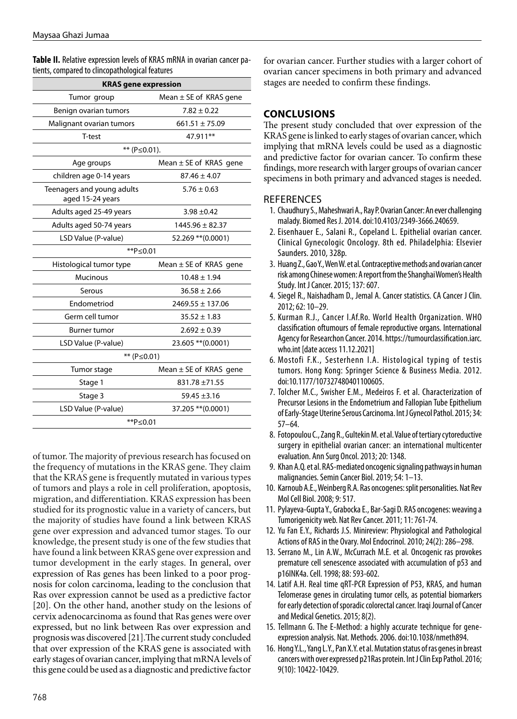**Table II.** Relative expression levels of KRAS mRNA in ovarian cancer patients, compared to clincopathological features

| <b>KRAS</b> gene expression                    |                            |  |
|------------------------------------------------|----------------------------|--|
| Tumor group                                    | Mean $\pm$ SE of KRAS gene |  |
| Benign ovarian tumors                          | $7.82 \pm 0.22$            |  |
| Malignant ovarian tumors                       | $661.51 \pm 75.09$         |  |
| T-test                                         | 47.911**                   |  |
| ** (P≤0.01).                                   |                            |  |
| Age groups                                     | Mean $\pm$ SE of KRAS gene |  |
| children age 0-14 years                        | $87.46 \pm 4.07$           |  |
| Teenagers and young adults<br>aged 15-24 years | $5.76 \pm 0.63$            |  |
| Adults aged 25-49 years                        | $3.98 + 0.42$              |  |
| Adults aged 50-74 years                        | $1445.96 \pm 82.37$        |  |
| LSD Value (P-value)                            | 52.269 ** (0.0001)         |  |
| ** $P≤0.01$                                    |                            |  |
| Histological tumor type                        | Mean $\pm$ SE of KRAS gene |  |
| <b>Mucinous</b>                                | $10.48 \pm 1.94$           |  |
| Serous                                         | $36.58 \pm 2.66$           |  |
| Endometriod                                    | $2469.55 \pm 137.06$       |  |
| Germ cell tumor                                | $35.52 \pm 1.83$           |  |
| Burner tumor                                   | $2.692 \pm 0.39$           |  |
| LSD Value (P-value)                            | 23.605 ** (0.0001)         |  |
| ** (P≤0.01)                                    |                            |  |
| Tumor stage                                    | Mean $\pm$ SE of KRAS gene |  |
| Stage 1                                        | 831.78 ±71.55              |  |
| Stage 3                                        | $59.45 \pm 3.16$           |  |
| LSD Value (P-value)                            | 37.205 ** (0.0001)         |  |
| **P≤0.01                                       |                            |  |

of tumor. The majority of previous research has focused on the frequency of mutations in the KRAS gene. They claim that the KRAS gene is frequently mutated in various types of tumors and plays a role in cell proliferation, apoptosis, migration, and differentiation. KRAS expression has been studied for its prognostic value in a variety of cancers, but the majority of studies have found a link between KRAS gene over expression and advanced tumor stages. To our knowledge, the present study is one of the few studies that have found a link between KRAS gene over expression and tumor development in the early stages. In general, over expression of Ras genes has been linked to a poor prognosis for colon carcinoma, leading to the conclusion that Ras over expression cannot be used as a predictive factor [20]. On the other hand, another study on the lesions of cervix adenocarcinoma as found that Ras genes were over expressed, but no link between Ras over expression and prognosis was discovered [21].The current study concluded that over expression of the KRAS gene is associated with early stages of ovarian cancer, implying that mRNA levels of this gene could be used as a diagnostic and predictive factor

for ovarian cancer. Further studies with a larger cohort of ovarian cancer specimens in both primary and advanced stages are needed to confirm these findings.

## **CONCLUSIONS**

The present study concluded that over expression of the KRAS gene is linked to early stages of ovarian cancer, which implying that mRNA levels could be used as a diagnostic and predictive factor for ovarian cancer. To confirm these findings, more research with larger groups of ovarian cancer specimens in both primary and advanced stages is needed.

## **REFERENCES**

- 1. Chaudhury S., Maheshwari A., Ray P. Ovarian Cancer: An ever challenging malady. Biomed Res J. 2014. doi:10.4103/2349-3666.240659.
- 2. Eisenhauer E., Salani R., Copeland L. Epithelial ovarian cancer. Clinical Gynecologic Oncology. 8th ed. Philadelphia: Elsevier Saunders. 2010, 328p.
- 3. Huang Z., Gao Y., Wen W. et al. Contraceptive methods and ovarian cancer risk among Chinese women: A report from the Shanghai Women's Health Study. Int J Cancer. 2015; 137: 607.
- 4. Siegel R., Naishadham D., Jemal A. Cancer statistics. CA Cancer J Clin. 2012; 62: 10–29.
- 5. Kurman R.J., Cancer I.Af.Ro. World Health Organization. WHO classification oftumours of female reproductive organs. International Agency for Researchon Cancer. 2014. https://tumourclassification.iarc. who.int [date access 11.12.2021]
- 6. Mostofi F.K., Sesterhenn I.A. Histological typing of testis tumors. Hong Kong: Springer Science & Business Media. 2012. doi:10.1177/107327480401100605.
- 7. Tolcher M.C., Swisher E.M., Medeiros F. et al. Characterization of Precursor Lesions in the Endometrium and Fallopian Tube Epithelium of Early-Stage Uterine Serous Carcinoma. Int J Gynecol Pathol. 2015; 34: 57–64.
- 8. Fotopoulou C., Zang R., Gultekin M. et al. Value of tertiary cytoreductive surgery in epithelial ovarian cancer: an international multicenter evaluation. Ann Surg Oncol. 2013; 20: 1348.
- 9. Khan A.Q. et al. RAS-mediated oncogenic signaling pathways in human malignancies. Semin Cancer Biol. 2019; 54: 1–13.
- 10. Karnoub A.E., Weinberg R.A. Ras oncogenes: split personalities. Nat Rev Mol Cell Biol. 2008; 9: 517.
- 11. Pylayeva-Gupta Y., Grabocka E., Bar-Sagi D. RAS oncogenes: weaving a Tumorigenicity web. Nat Rev Cancer. 2011; 11: 761-74.
- 12. Yu Fan E.Y., Richards J.S. Minireview: Physiological and Pathological Actions of RAS in the Ovary. Mol Endocrinol. 2010; 24(2): 286–298.
- 13. Serrano M., Lin A.W., McCurrach M.E. et al. Oncogenic ras provokes premature cell senescence associated with accumulation of p53 and p16INK4a. Cell. 1998; 88: 593-602.
- 14. Latif A.H. Real time qRT-PCR Expression of P53, KRAS, and human Telomerase genes in circulating tumor cells, as potential biomarkers for early detection of sporadic colorectal cancer. Iraqi Journal of Cancer and Medical Genetics. 2015; 8(2).
- 15. Tellmann G. The E-Method: a highly accurate technique for geneexpression analysis. Nat. Methods. 2006. doi:10.1038/nmeth894.
- 16. Hong Y.L., Yang L.Y., Pan X.Y. et al. Mutation status of ras genes in breast cancers with over expressed p21Ras protein. Int J Clin Exp Pathol. 2016; 9(10): 10422-10429.